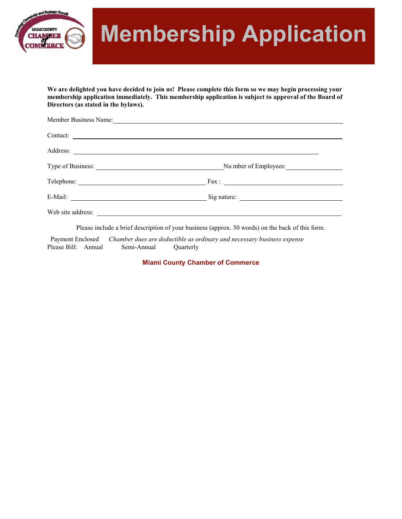

# **Membership Application**

**We are delighted you have decided to join us! Please complete this form so we may begin processing your membership application immediately. This membership application is subject to approval of the Board of Directors (as stated in the bylaws).** 

| Member Business Name: |                       |
|-----------------------|-----------------------|
| Contact:              |                       |
|                       |                       |
|                       | Nu mber of Employees: |
|                       | $\text{Fax}:$         |
|                       |                       |
|                       |                       |

Please include a brief description of your business (approx. 30 words) on the back of this form.

 Payment Enclosed *Chamber dues are deductible as ordinary and necessary business expense* Please Bill: Annual Semi-Annual Quarterly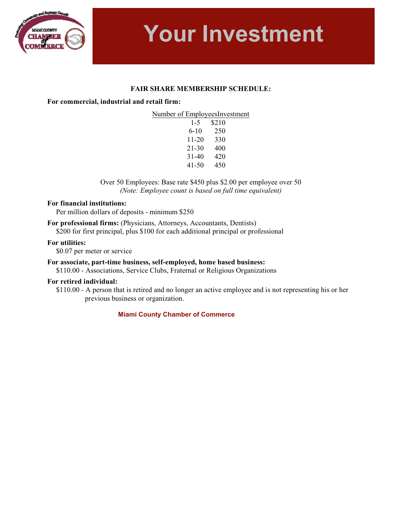

**Your Investment**

### **FAIR SHARE MEMBERSHIP SCHEDULE:**

#### **For commercial, industrial and retail firm:**

| $1-5$ | \$210 |
|-------|-------|
| 6-10  | 250   |
| 11-20 | 330   |
| 21-30 | 400   |
| 31-40 | 420   |
| 41-50 | 450   |

Over 50 Employees: Base rate \$450 plus \$2.00 per employee over 50 *(Note: Employee count is based on full time equivalent)*

#### **For financial institutions:**

Per million dollars of deposits - minimum \$250

**For professional firms:** (Physicians, Attorneys, Accountants, Dentists) \$200 for first principal, plus \$100 for each additional principal or professional

#### **For utilities:**

\$0.07 per meter or service

#### **For associate, part-time business, self-employed, home based business:**

\$110.00 - Associations, Service Clubs, Fraternal or Religious Organizations

#### **For retired individual:**

\$110.00 - A person that is retired and no longer an active employee and is not representing his or her previous business or organization.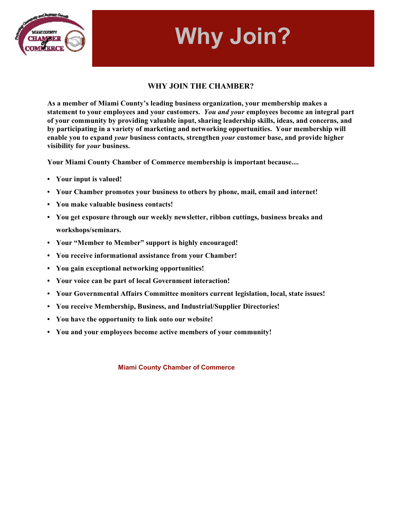# **Why Join?**



### **WHY JOIN THE CHAMBER?**

**As a member of Miami County's leading business organization, your membership makes a statement to your employees and your customers.** *You and your* **employees become an integral part of your community by providing valuable input, sharing leadership skills, ideas, and concerns, and by participating in a variety of marketing and networking opportunities. Your membership will enable you to expand** *your* **business contacts, strengthen** *your* **customer base, and provide higher visibility for** *your* **business.** 

**Your Miami County Chamber of Commerce membership is important because....**

- **• Your input is valued!**
- **• Your Chamber promotes your business to others by phone, mail, email and internet!**
- **• You make valuable business contacts!**
- **• You get exposure through our weekly newsletter, ribbon cuttings, business breaks and workshops/seminars.**
- **• Your "Member to Member" support is highly encouraged!**
- **• You receive informational assistance from your Chamber!**
- **• You gain exceptional networking opportunities!**
- **• Your voice can be part of local Government interaction!**
- **• Your Governmental Affairs Committee monitors current legislation, local, state issues!**
- **• You receive Membership, Business, and Industrial/Supplier Directories!**
- **• You have the opportunity to link onto our website!**
- **• You and your employees become active members of your community!**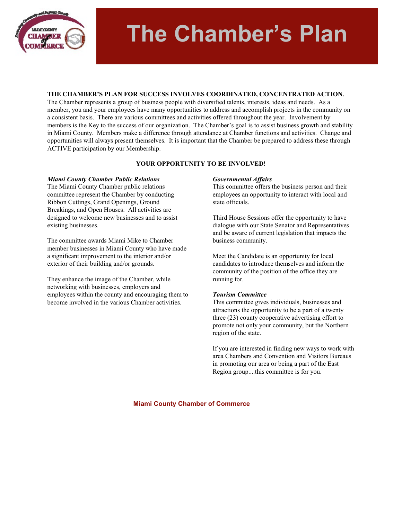

# **The Chamber's Plan**

#### **THE CHAMBER'S PLAN FOR SUCCESS INVOLVES COORDINATED, CONCENTRATED ACTION**.

The Chamber represents a group of business people with diversified talents, interests, ideas and needs. As a member, you and your employees have many opportunities to address and accomplish projects in the community on a consistent basis. There are various committees and activities offered throughout the year. Involvement by members is the Key to the success of our organization. The Chamber's goal is to assist business growth and stability in Miami County. Members make a difference through attendance at Chamber functions and activities. Change and opportunities will always present themselves. It is important that the Chamber be prepared to address these through ACTIVE participation by our Membership.

#### **YOUR OPPORTUNITY TO BE INVOLVED!**

#### *Miami County Chamber Public Relations*

The Miami County Chamber public relations committee represent the Chamber by conducting Ribbon Cuttings, Grand Openings, Ground Breakings, and Open Houses. All activities are designed to welcome new businesses and to assist existing businesses.

The committee awards Miami Mike to Chamber member businesses in Miami County who have made a significant improvement to the interior and/or exterior of their building and/or grounds.

They enhance the image of the Chamber, while networking with businesses, employers and employees within the county and encouraging them to become involved in the various Chamber activities.

#### *Governmental Affairs*

This committee offers the business person and their employees an opportunity to interact with local and state officials.

Third House Sessions offer the opportunity to have dialogue with our State Senator and Representatives and be aware of current legislation that impacts the business community.

Meet the Candidate is an opportunity for local candidates to introduce themselves and inform the community of the position of the office they are running for.

#### *Tourism Committee*

This committee gives individuals, businesses and attractions the opportunity to be a part of a twenty three (23) county cooperative advertising effort to promote not only your community, but the Northern region of the state.

If you are interested in finding new ways to work with area Chambers and Convention and Visitors Bureaus in promoting our area or being a part of the East Region group....this committee is for you.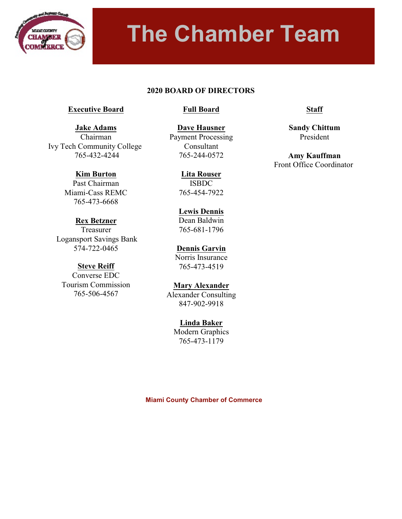

# **The Chamber Team**

### **2020 BOARD OF DIRECTORS**

### **Executive Board**

**Jake Adams** Chairman Ivy Tech Community College 765-432-4244

> **Kim Burton** Past Chairman Miami-Cass REMC 765-473-6668

### **Full Board**

**Dave Hausner** Payment Processing Consultant 765-244-0572

> **Lita Rouser** ISBDC 765-454-7922

# **Lewis Dennis**

Dean Baldwin 765-681-1796

**Dennis Garvin** Norris Insurance 765-473-4519

# **Mary Alexander**

847-902-9918

**Linda Baker**

**Staff**

**Sandy Chittum** President

**Amy Kauffman** Front Office Coordinator

# **Rex Betzner**

Treasurer Logansport Savings Bank 574-722-0465

# **Steve Reiff**

Converse EDC Tourism Commission 765-506-4567

Alexander Consulting

Modern Graphics 765-473-1179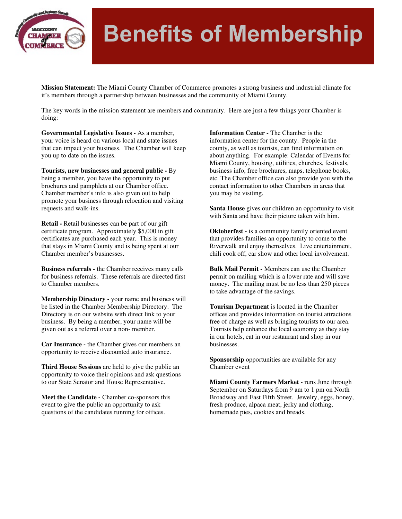

# **Benefits of Membership**

**Mission Statement:** The Miami County Chamber of Commerce promotes a strong business and industrial climate for it's members through a partnership between businesses and the community of Miami County.

The key words in the mission statement are members and community. Here are just a few things your Chamber is doing:

**Governmental Legislative Issues -** As a member, your voice is heard on various local and state issues that can impact your business. The Chamber will keep you up to date on the issues.

**Tourists, new businesses and general public -** By being a member, you have the opportunity to put brochures and pamphlets at our Chamber office. Chamber member's info is also given out to help promote your business through relocation and visiting requests and walk-ins.

**Retail -** Retail businesses can be part of our gift certificate program. Approximately \$5,000 in gift certificates are purchased each year. This is money that stays in Miami County and is being spent at our Chamber member's businesses.

**Business referrals -** the Chamber receives many calls for business referrals. These referrals are directed first to Chamber members.

**Membership Directory -** your name and business will be listed in the Chamber Membership Directory. The Directory is on our website with direct link to your business. By being a member, your name will be given out as a referral over a non- member.

**Car Insurance -** the Chamber gives our members an opportunity to receive discounted auto insurance.

**Third House Sessions** are held to give the public an opportunity to voice their opinions and ask questions to our State Senator and House Representative.

**Meet the Candidate -** Chamber co-sponsors this event to give the public an opportunity to ask questions of the candidates running for offices.

**Information Center -** The Chamber is the information center for the county. People in the county, as well as tourists, can find information on about anything. For example: Calendar of Events for Miami County, housing, utilities, churches, festivals, business info, free brochures, maps, telephone books, etc. The Chamber office can also provide you with the contact information to other Chambers in areas that you may be visiting.

**Santa House** gives our children an opportunity to visit with Santa and have their picture taken with him.

**Oktoberfest -** is a community family oriented event that provides families an opportunity to come to the Riverwalk and enjoy themselves. Live entertainment, chili cook off, car show and other local involvement.

**Bulk Mail Permit -** Members can use the Chamber permit on mailing which is a lower rate and will save money. The mailing must be no less than 250 pieces to take advantage of the savings.

**Tourism Department** is located in the Chamber offices and provides information on tourist attractions free of charge as well as bringing tourists to our area. Tourists help enhance the local economy as they stay in our hotels, eat in our restaurant and shop in our businesses.

**Sponsorship** opportunities are available for any Chamber event

**Miami County Farmers Market** - runs June through September on Saturdays from 9 am to 1 pm on North Broadway and East Fifth Street. Jewelry, eggs, honey, fresh produce, alpaca meat, jerky and clothing, homemade pies, cookies and breads.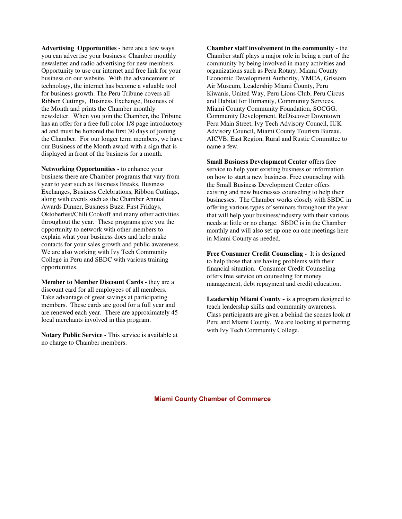**Advertising Opportunities -** here are a few ways you can advertise your business: Chamber monthly newsletter and radio advertising for new members. Opportunity to use our internet and free link for your business on our website. With the advancement of technology, the internet has become a valuable tool for business growth. The Peru Tribune covers all Ribbon Cuttings, Business Exchange, Business of the Month and prints the Chamber monthly newsletter. When you join the Chamber, the Tribune has an offer for a free full color 1/8 page introductory ad and must be honored the first 30 days of joining the Chamber. For our longer term members, we have our Business of the Month award with a sign that is displayed in front of the business for a month.

**Networking Opportunities -** to enhance your business there are Chamber programs that vary from year to year such as Business Breaks, Business Exchanges, Business Celebrations, Ribbon Cuttings, along with events such as the Chamber Annual Awards Dinner, Business Buzz, First Fridays, Oktoberfest/Chili Cookoff and many other activities throughout the year. These programs give you the opportunity to network with other members to explain what your business does and help make contacts for your sales growth and public awareness. We are also working with Ivy Tech Community College in Peru and SBDC with various training opportunities.

**Member to Member Discount Cards - they are a** discount card for all employees of all members. Take advantage of great savings at participating members. These cards are good for a full year and are renewed each year. There are approximately 45 local merchants involved in this program.

**Notary Public Service -** This service is available at no charge to Chamber members.

**Chamber staff involvement in the community -** the Chamber staff plays a major role in being a part of the community by being involved in many activities and organizations such as Peru Rotary, Miami County Economic Development Authority, YMCA, Grissom Air Museum, Leadership Miami County, Peru Kiwanis, United Way, Peru Lions Club, Peru Circus and Habitat for Humanity, Community Services, Miami County Community Foundation, SOCGG, Community Development, ReDiscover Downtown Peru Main Street, Ivy Tech Advisory Council, IUK Advisory Council, Miami County Tourism Bureau, AICVB, East Region, Rural and Rustic Committee to name a few.

**Small Business Development Center** offers free service to help your existing business or information on how to start a new business. Free counseling with the Small Business Development Center offers existing and new businesses counseling to help their businesses. The Chamber works closely with SBDC in offering various types of seminars throughout the year that will help your business/industry with their various needs at little or no charge.SBDC is in the Chamber monthly and will also set up one on one meetings here in Miami County as needed.

**Free Consumer Credit Counseling -** It is designed to help those that are having problems with their financial situation. Consumer Credit Counseling offers free service on counseling for money management, debt repayment and credit education.

**Leadership Miami County -** is a program designed to teach leadership skills and community awareness. Class participants are given a behind the scenes look at Peru and Miami County.We are looking at partnering with Ivy Tech Community College.